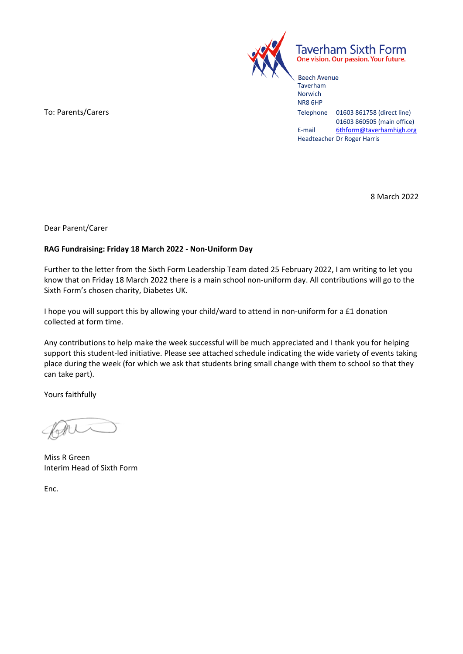

**Taverham Sixth Form** One vision. Our passion. Your future.

Beech Avenue Taverham Norwich NR8 6HP To: Parents/Carers Telephone 01603 861758 (direct line) 01603 860505 (main office) E-mail 6thform@taverhamhigh.org Headteacher Dr Roger Harris

8 March 2022

Dear Parent/Carer

## **RAG Fundraising: Friday 18 March 2022 ‐ Non‐Uniform Day**

Further to the letter from the Sixth Form Leadership Team dated 25 February 2022, I am writing to let you know that on Friday 18 March 2022 there is a main school non‐uniform day. All contributions will go to the Sixth Form's chosen charity, Diabetes UK.

I hope you will support this by allowing your child/ward to attend in non‐uniform for a £1 donation collected at form time.

Any contributions to help make the week successful will be much appreciated and I thank you for helping support this student‐led initiative. Please see attached schedule indicating the wide variety of events taking place during the week (for which we ask that students bring small change with them to school so that they can take part).

Yours faithfully

Miss R Green Interim Head of Sixth Form

Enc.